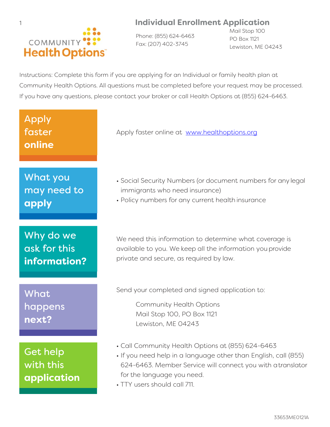## COMMUNITY<sup>®</sup> **Health Options**

1 **Individual Enrollment Application**

Phone: (855) 624-6463 Fax: (207) 402-3745

Mail Stop 100 PO Box 1121 Lewiston, ME 04243

Instructions: Complete this form if you are applying for an Individual or family health plan at Community Health Options. All questions must be completed before your request may be processed. If you have any questions, please contact your broker or call Health Options at (855) 624-6463.

# What you may need to **apply** Why do we

Apply

faster

**online**

ask for this **information?**

What happens **next?**

Get help with this **application** Apply faster online at www.healthoptions.org

- Social Security Numbers (or document numbers for any legal immigrants who need insurance)
- Policy numbers for any current health insurance

We need this information to determine what coverage is available to you. We keep all the information you provide private and secure, as required by law.

Send your completed and signed application to:

Community Health Options Mail Stop 100, PO Box 1121 Lewiston, ME 04243

- Call Community Health Options at (855) 624-6463
- If you need help in a language other than English, call (855) 624-6463. Member Service will connect you with a translator for the language you need.
- TTY users should call 711.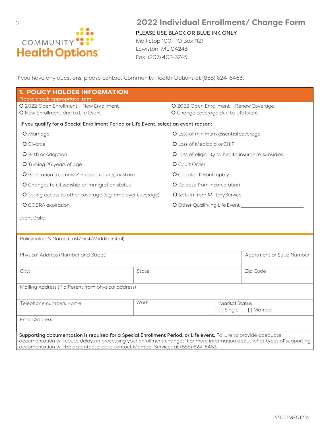

## 2 **2022 Individual Enrollment/ Change Form**

PLEASE USE BLACK OR BLUE INK ONLY

Mail Stop 100, PO Box 1121 Lewiston, ME 04243 Fax: (207) 402-3745

If you have any questions, please contact Community Health Options at (855) 624-6463.

| <b>1. POLICY HOLDER INFORMATION</b>                                                                                                                                                                            |                                |                                                                                |           |                           |
|----------------------------------------------------------------------------------------------------------------------------------------------------------------------------------------------------------------|--------------------------------|--------------------------------------------------------------------------------|-----------|---------------------------|
| Please check appropriate Item:                                                                                                                                                                                 |                                |                                                                                |           |                           |
| O 2022 Open Enrollment - New Enrollment<br>O New Enrollment due to Life Event                                                                                                                                  |                                | O 2022 Open Enrollment - Renew Coverage<br>O Change coverage due to Life Event |           |                           |
| If you qualify for a Special Enrollment Period or Life Event, select an event reason:                                                                                                                          |                                |                                                                                |           |                           |
| <b>O</b> Marriage                                                                                                                                                                                              |                                | O Loss of minimum essential coverage                                           |           |                           |
| O Divorce                                                                                                                                                                                                      |                                | O Loss of Medicaid or CHIP                                                     |           |                           |
| O Birth or Adoption                                                                                                                                                                                            |                                | O Loss of eligibility to health insurance subsidies                            |           |                           |
| O Turning 26 years of age                                                                                                                                                                                      |                                | O Court Order                                                                  |           |                           |
| O Relocation to a new ZIP code, county, or state                                                                                                                                                               |                                | O Chapter 11 Bankruptcy                                                        |           |                           |
| O Changes to citizenship or immigration status                                                                                                                                                                 |                                | O Release from incarceration                                                   |           |                           |
| O Losing access to other coverage (e.g. employer coverage)                                                                                                                                                     |                                | O Return from Military Service                                                 |           |                           |
| <b>O</b> COBRA expiration                                                                                                                                                                                      |                                |                                                                                |           |                           |
|                                                                                                                                                                                                                |                                |                                                                                |           |                           |
|                                                                                                                                                                                                                |                                |                                                                                |           |                           |
| Policyholder's Name (Last/First/Middle Initial)                                                                                                                                                                |                                |                                                                                |           |                           |
|                                                                                                                                                                                                                |                                |                                                                                |           |                           |
| Physical Address (Number and Street)                                                                                                                                                                           |                                |                                                                                |           | Apartment or Suite Number |
|                                                                                                                                                                                                                |                                |                                                                                |           |                           |
| City:                                                                                                                                                                                                          | State:                         |                                                                                |           | Zip Code                  |
| Mailing Address (if different from physical address)                                                                                                                                                           |                                |                                                                                |           |                           |
|                                                                                                                                                                                                                |                                |                                                                                |           |                           |
| Telephone numbers Home:                                                                                                                                                                                        | Work:<br><b>Marital Status</b> |                                                                                |           |                           |
|                                                                                                                                                                                                                |                                |                                                                                | [] Single | [] Married                |
| Email Address:                                                                                                                                                                                                 |                                |                                                                                |           |                           |
| Supporting documentation is required for a Special Enrollment Period, or Life event. Failure to provide adequate                                                                                               |                                |                                                                                |           |                           |
| documentation will cause delays in processing your enrollment changes. For more information about what types of supporting<br>documentation will be accepted, please contact Member Services at (855) 624-6463 |                                |                                                                                |           |                           |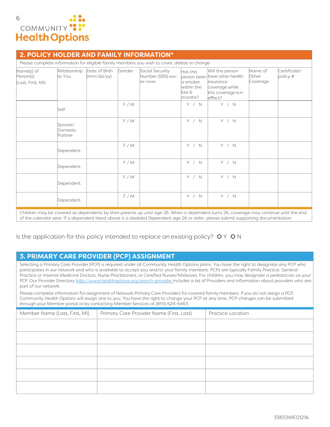

#### **2. POLICY HOLDER AND FAMILY INFORMATION\***

| Please complete information for eligible family members you wish to cover, delete or change |                                |                             |        |                                                 |                                                          |                                                                                                                     |                                     |                            |
|---------------------------------------------------------------------------------------------|--------------------------------|-----------------------------|--------|-------------------------------------------------|----------------------------------------------------------|---------------------------------------------------------------------------------------------------------------------|-------------------------------------|----------------------------|
| Name(s) of<br>Person(s)<br>(Last, First, MI)                                                | Relationship<br>to You         | Date of Birth<br>(mm/dd/yy) | Gender | Social Security<br>Number (SSN) xxx-<br>XX-XXXX | Has this<br>la smoker<br>within the<br>last 6<br>months? | Will this person<br>person been have other health<br>linsurance<br>coverage while<br>this coverage is in<br>effect? | Name of<br><b>Other</b><br>Coverage | Certificate/<br>policy $#$ |
|                                                                                             | Self                           |                             | F/M    |                                                 | Y / N                                                    | Y / N                                                                                                               |                                     |                            |
|                                                                                             | Spouse/<br>Domestic<br>Partner |                             | F/M    |                                                 | Y / N                                                    | Y / N                                                                                                               |                                     |                            |
|                                                                                             | Dependent                      |                             | F/M    |                                                 | Y / N                                                    | Y / N                                                                                                               |                                     |                            |
|                                                                                             | Dependent                      |                             | F/M    |                                                 | Y / N                                                    | Y / N                                                                                                               |                                     |                            |
|                                                                                             | Dependent                      |                             | F/M    |                                                 | Y / N                                                    | Y / N                                                                                                               |                                     |                            |
|                                                                                             | Dependent                      |                             | F/M    |                                                 | Y / N                                                    | Y / N                                                                                                               |                                     |                            |

Children may be covered as dependents by their parents up until age 26. When a dependent turns 26, coverage may continue until the end of the calendar year. If a dependent listed above is a disabled Dependent age 26 or older, please submit supporting documentation.

Is the application for this policy intended to replace an existing policy?  $O Y O N$ 

#### **3. PRIMARY CARE PROVIDER (PCP) ASSIGNMENT**

Selecting a Primary Care Provider {PCP} is required under all Community Health Options plans. You have the right to designate any PCP who participates in our network and who is available to accept you and/or your family members. PCPs are typically Family Practice, General Practice or Internal Medicine Doctors, Nurse Practitioners, or Certified Nurses/Midwives. For children, you may designate a pediatrician as your PCP. Our Provider Directory http://www.healthoptions.org/search-provider includes a list of Providers and information about providers who are part of our network.

Please complete information for assignment of Network Primary Care Providers for covered family members. If you do not assign a PCP, Community Health Options will assign one to you. You have the right to change your PCP at any time. PCP changes can be submitted through your Member portal or by contacting Member Services at (855) 624-6463.

| Member Name (Last, First, MI) | Primary Care Provider Name (First, Last) | Practice Location |
|-------------------------------|------------------------------------------|-------------------|
|                               |                                          |                   |
|                               |                                          |                   |
|                               |                                          |                   |
|                               |                                          |                   |
|                               |                                          |                   |
|                               |                                          |                   |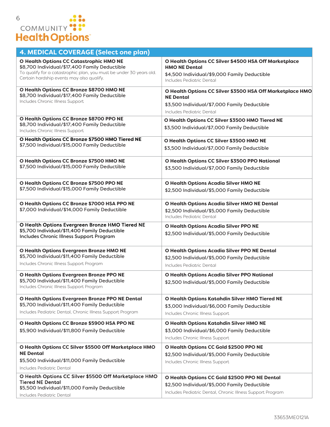| <b>4. MEDICAL COVERAGE (Select one plan)</b>                                                                                                                                                                        |                                                                                                                                                             |  |  |  |
|---------------------------------------------------------------------------------------------------------------------------------------------------------------------------------------------------------------------|-------------------------------------------------------------------------------------------------------------------------------------------------------------|--|--|--|
| <b>O Health Options CC Catastrophic HMO NE</b><br>\$8,700 Individual/\$17,400 Family Deductible<br>To qualify for a catastrophic plan, you must be under 30 years old.<br>Certain hardship events may also qualify. | O Health Options CC Silver \$4500 HSA Off Marketplace<br><b>HMO NE Dental</b><br>\$4,500 Individual/\$9,000 Family Deductible<br>Includes Pediatric Dental  |  |  |  |
| O Health Options CC Bronze \$8700 HMO NE<br>\$8,700 Individual/\$17,400 Family Deductible<br>Includes Chronic Illness Support                                                                                       | O Health Options CC Silver \$3500 HSA Off Marketplace HMO<br><b>NE Dental</b><br>\$3,500 Individual/\$7,000 Family Deductible<br>Includes Pediatric Dental  |  |  |  |
| O Health Options CC Bronze \$8700 PPO NE<br>\$8,700 Individual/\$17,400 Family Deductible<br>Includes Chronic Illness Support                                                                                       | O Health Options CC Silver \$3500 HMO Tiered NE<br>\$3,500 Individual/\$7,000 Family Deductible                                                             |  |  |  |
| O Health Options CC Bronze \$7500 HMO Tiered NE<br>\$7,500 Individual/\$15,000 Family Deductible                                                                                                                    | O Health Options CC Silver \$3500 HMO NE<br>\$3,500 Individual/\$7,000 Family Deductible                                                                    |  |  |  |
| O Health Options CC Bronze \$7500 HMO NE<br>\$7,500 Individual/\$15,000 Family Deductible                                                                                                                           | <b>O Health Options CC Silver \$3500 PPO National</b><br>\$3,500 Individual/\$7,000 Family Deductible                                                       |  |  |  |
| O Health Options CC Bronze \$7500 PPO NE<br>\$7,500 Individual/\$15,000 Family Deductible                                                                                                                           | <b>O Health Options Acadia Silver HMO NE</b><br>\$2,500 Individual/\$5,000 Family Deductible                                                                |  |  |  |
| O Health Options CC Bronze \$7000 HSA PPO NE<br>\$7,000 Individual/\$14,000 Family Deductible                                                                                                                       | <b>O Health Options Acadia Silver HMO NE Dental</b><br>\$2,500 Individual/\$5,000 Family Deductible<br>Includes Pediatric Dental                            |  |  |  |
| O Health Options Evergreen Bronze HMO Tiered NE<br>\$5,700 Individual/\$11,400 Family Deductible<br>Includes Chronic Illness Support Program                                                                        | <b>O Health Options Acadia Silver PPO NE</b><br>\$2,500 Individual/\$5,000 Family Deductible                                                                |  |  |  |
| O Health Options Evergreen Bronze HMO NE<br>\$5,700 Individual/\$11,400 Family Deductible<br>Includes Chronic Illness Support Program                                                                               | <b>O Health Options Acadia Silver PPO NE Dental</b><br>\$2,500 Individual/\$5,000 Family Deductible<br>Includes Pediatric Dental                            |  |  |  |
| O Health Options Evergreen Bronze PPO NE<br>\$5,700 Individual/\$11,400 Family Deductible<br>Includes Chronic Illness Support Program                                                                               | <b>O Health Options Acadia Silver PPO National</b><br>\$2,500 Individual/\$5,000 Family Deductible                                                          |  |  |  |
| O Health Options Evergreen Bronze PPO NE Dental<br>\$5,700 Individual/\$11,400 Family Deductible<br>Includes Pediatric Dental, Chronic Illness Support Program                                                      | O Health Options Katahdin Silver HMO Tiered NE<br>\$3,000 Individual/\$6,000 Family Deductible<br>Includes Chronic Illness Support                          |  |  |  |
| O Health Options CC Bronze \$5900 HSA PPO NE<br>\$5,900 Individual/\$11,800 Family Deductible                                                                                                                       | O Health Options Katahdin Silver HMO NE<br>\$3,000 Individual/\$6,000 Family Deductible<br>Includes Chronic Illness Support                                 |  |  |  |
| O Health Options CC Silver \$5500 Off Marketplace HMO<br><b>NE Dental</b><br>\$5,500 Individual/\$11,000 Family Deductible<br>Includes Pediatric Dental                                                             | O Health Options CC Gold \$2500 PPO NE<br>\$2,500 Individual/\$5,000 Family Deductible<br>Includes Chronic Illness Support                                  |  |  |  |
| O Health Options CC Silver \$5500 Off Marketplace HMO<br><b>Tiered NE Dental</b><br>\$5,500 Individual/\$11,000 Family Deductible<br>Includes Pediatric Dental                                                      | O Health Options CC Gold \$2500 PPO NE Dental<br>\$2,500 Individual/\$5,000 Family Deductible<br>Includes Pediatric Dental, Chronic Illness Support Program |  |  |  |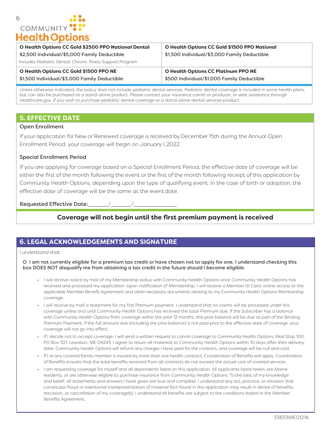## 6 COMMUNITY **Health Options**

| <b>O Health Options CC Gold \$2500 PPO National Dental</b><br>\$2,500 Individual/\$5,000 Family Deductible | <b>O Health Options CC Gold \$1500 PPO National</b><br>\$1,500 Individual/\$3,000 Family Deductible |
|------------------------------------------------------------------------------------------------------------|-----------------------------------------------------------------------------------------------------|
| Includes Pediatric Dental, Chronic Illness Support Program                                                 |                                                                                                     |
| <b>O Health Options CC Gold \$1500 PPO NE</b>                                                              | <b>O Health Options CC Platinum PPO NE</b>                                                          |
| \$1,500 Individual/\$3,000 Family Deductible                                                               | \$500 Individual/\$1,000 Family Deductible                                                          |

Unless otherwise indicated, the policy does not include pediatric dental services. Pediatric dental coverage is included in some health plans, but can also be purchased as a stand-alone product. Please contact your insurance carrier or producer, or seek assistance through Healthcare.gov, if you wish to purchase pediatric dental coverage or a stand-alone dental services product.

#### **5. EFFECTIVE DATE**

#### Open Enrollment

If your application for New or Renewed coverage is received by December 15th during the Annual Open Enrollment Period, your coverage will begin on January l, 2022.

#### Special Enrollment Period

If you are applying for coverage based on a Special Enrollment Period, the effective date of coverage will be either the first of the month following the event or the first of the month following receipt of this application by Community Health Options, depending upon the type of qualifying event. In the case of birth or adoption, the effective date of coverage will be the same as the event date.

Requested Effective Date:

## **Coverage will not begin until the first premium payment is received**

## **6. LEGAL ACKNOWLEDGEMENTS AND SIGNATURE**

#### I understand that:

O I am not currently eligible for a premium tax credit or have chosen not to apply for one. I understand checking this box DOES NOT disqualify me from obtaining a tax credit in the future should I become eligible.

- I will receive notice by mail of my Membership status with Community Health Options once Community Health Options has received and processed my application. Upon notification of Membership, I will receive a Member ID Card, online access to the applicable Member Benefit Agreement and other necessary documents relating to my Community Health Options Membership coverage.
- I will receive by mail a statement for my first Premium payment. I understand that no claims will be processed under this coverage unless and until Community Health Options has received the total Premium due. If the Subscriber has a balance with Community Health Options from coverage within the prior 12 months, this prior balance will be due as part of the Binding Premium Payment. If the full amount due (including the prior balance) is not paid prior to the effective date of coverage, your coverage will not go into effect.
- If I decide not to accept coverage, I will send a written request to cancel coverage to Community Health Options, Mail Stop 100, PO Box 1121, Lewiston, ME 04243. I agree to return all materials to Community Health Options within 10 days after their delivery date. Community Health Options will refund any charges I have paid for the contract, and coverage will be null and void.
- If I or any covered family member is insured by more than one health contract, Coordination of Benefits will apply. Coordination of Benefits ensures that the total benefits received from all contracts do not exceed the actual cost of covered services.
- I am requesting coverage for myself and all dependents listed on this application. All applicants listed herein are Maine residents, or are otherwise eligible to purchase insurance from Community Health Options. To the best of my knowledge and belief, all statements and answers I have given are true and complete. I understand any act, practice, or omission that constitutes fraud or intentional misrepresentation of material fact found in this application may result in denial of benefits, rescission, or cancellation of my coverage(s). I understand all benefits are subject to the conditions stated in the Member Benefits Agreement.